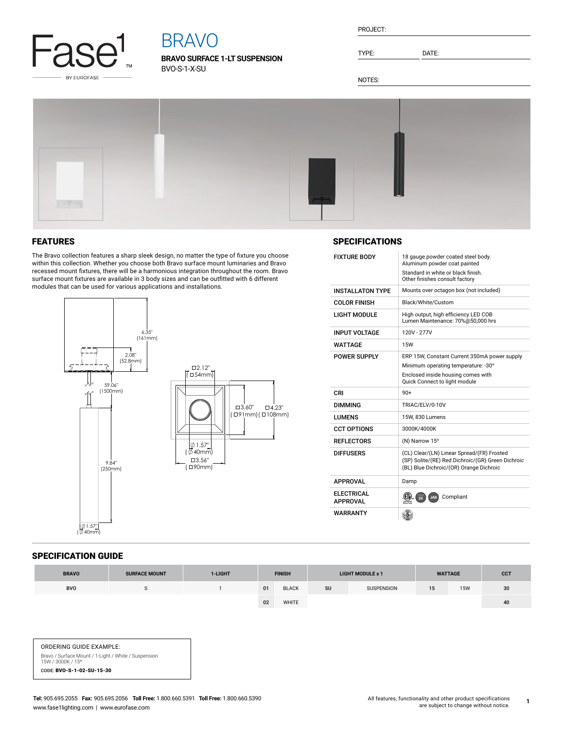

# BRAVO

**BRAVO SURFACE 1-LT SUSPENSION** BVO-S-1-X-SU

| PROJECT: |  |
|----------|--|
|          |  |

TYPE: DATE:

NOTES:



# FEATURES

The Bravo collection features a sharp sleek design, no matter the type of fixture you choose within this collection. Whether you choose both Bravo surface mount luminaries and Bravo recessed mount fixtures, there will be a harmonious integration throughout the room. Bravo surface mount fixtures are available in 3 body sizes and can be outfitted with 6 different modules that can be used for various applications and installations.



## **SPECIFICATIONS**

| <b>FIXTURE BODY</b>                  | 18 gauge powder coated steel body.<br>Aluminum powder coat painted<br>Standard in white or black finish.<br>Other finishes consult factory |  |  |  |  |
|--------------------------------------|--------------------------------------------------------------------------------------------------------------------------------------------|--|--|--|--|
| <b>INSTALLATON TYPE</b>              | Mounts over octagon box (not included)                                                                                                     |  |  |  |  |
| <b>COLOR FINISH</b>                  | Black/White/Custom                                                                                                                         |  |  |  |  |
| I IGHT MODULE                        | High output, high efficiency LED COB<br>Lumen Maintenance: 70%@50,000 hrs                                                                  |  |  |  |  |
| <b>INPUT VOLTAGE</b>                 | 120V - 277V                                                                                                                                |  |  |  |  |
| WATTAGF                              | <b>15W</b>                                                                                                                                 |  |  |  |  |
| <b>POWER SUPPLY</b>                  | ERP 15W, Constant Current 350mA power supply                                                                                               |  |  |  |  |
|                                      | Minimum operating temperature: -30°                                                                                                        |  |  |  |  |
|                                      | Enclosed inside housing comes with<br>Quick Connect to light module                                                                        |  |  |  |  |
|                                      |                                                                                                                                            |  |  |  |  |
| CRI                                  | $90+$                                                                                                                                      |  |  |  |  |
| <b>DIMMING</b>                       | TRIAC/ELV/0-10V                                                                                                                            |  |  |  |  |
| <b>LUMENS</b>                        | 15W. 830 Lumens                                                                                                                            |  |  |  |  |
| <b>CCT OPTIONS</b>                   | 3000K/4000K                                                                                                                                |  |  |  |  |
| <b>REFLECTORS</b>                    | (N) Narrow 15°                                                                                                                             |  |  |  |  |
| <b>DIFFUSERS</b>                     | (CL) Clear/(LN) Linear Spread/(FR) Frosted<br>(SP) Solite/(RE) Red Dichroic/(GR) Green Dichroic<br>(BL) Blue Dichroic/(OR) Orange Dichroic |  |  |  |  |
| <b>APPROVAL</b>                      | Damp                                                                                                                                       |  |  |  |  |
| <b>ELECTRICAL</b><br><b>APPROVAL</b> | Compliant<br>JA8                                                                                                                           |  |  |  |  |

#### SPECIFICATION GUIDE

| <b>BRAVO</b> | <b>SURFACE MOUNT</b> | 1-LIGHT | <b>FINISH</b> |              | <b>LIGHT MODULE x 1</b> |                   | <b>WATTAGE</b>  |            | <b>CCT</b> |
|--------------|----------------------|---------|---------------|--------------|-------------------------|-------------------|-----------------|------------|------------|
| <b>BVO</b>   |                      |         | 01            | <b>BLACK</b> | SU                      | <b>SUSPENSION</b> | 15 <sup>1</sup> | <b>15W</b> | 30         |
|              |                      |         | 02            | WHITE        |                         |                   |                 |            | 40         |

ORDERING GUIDE EXAMPLE: Bravo / Surface Mount / 1-Light / White / Suspension<br>15W / 3000K / 15° CODE: BVO-S-1-02-SU-15-30

**1**